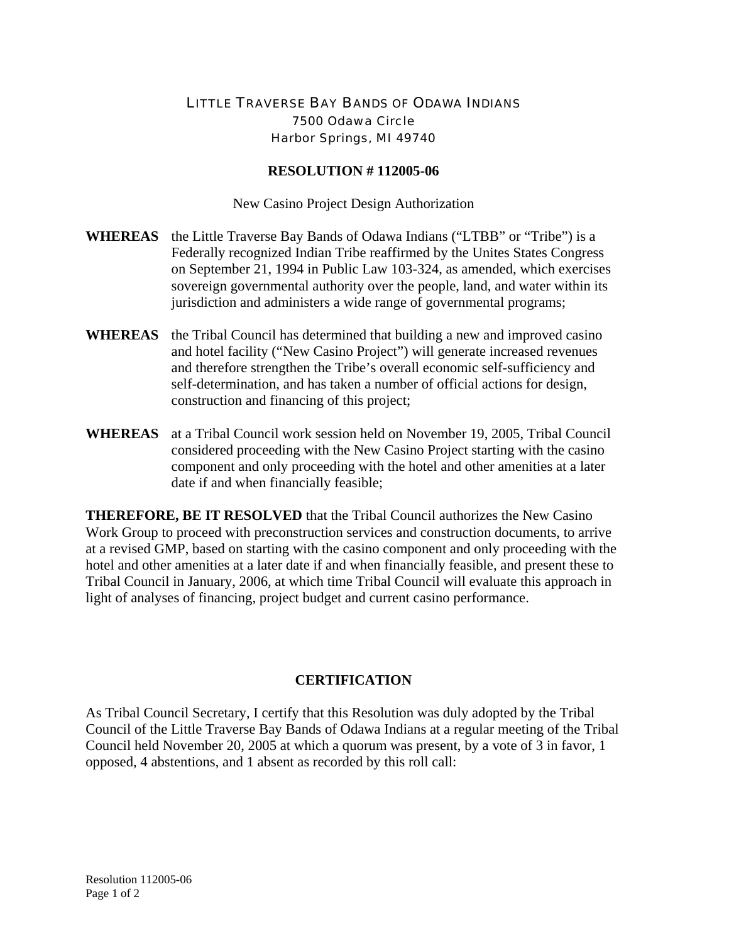## LITTLE TRAVERSE BAY BANDS OF ODAWA INDIANS 7500 Odawa Circle Harbor Springs, MI 49740

## **RESOLUTION # 112005-06**

New Casino Project Design Authorization

- **WHEREAS** the Little Traverse Bay Bands of Odawa Indians ("LTBB" or "Tribe") is a Federally recognized Indian Tribe reaffirmed by the Unites States Congress on September 21, 1994 in Public Law 103-324, as amended, which exercises sovereign governmental authority over the people, land, and water within its jurisdiction and administers a wide range of governmental programs;
- **WHEREAS** the Tribal Council has determined that building a new and improved casino and hotel facility ("New Casino Project") will generate increased revenues and therefore strengthen the Tribe's overall economic self-sufficiency and self-determination, and has taken a number of official actions for design, construction and financing of this project;
- **WHEREAS** at a Tribal Council work session held on November 19, 2005, Tribal Council considered proceeding with the New Casino Project starting with the casino component and only proceeding with the hotel and other amenities at a later date if and when financially feasible;

**THEREFORE, BE IT RESOLVED** that the Tribal Council authorizes the New Casino Work Group to proceed with preconstruction services and construction documents, to arrive at a revised GMP, based on starting with the casino component and only proceeding with the hotel and other amenities at a later date if and when financially feasible, and present these to Tribal Council in January, 2006, at which time Tribal Council will evaluate this approach in light of analyses of financing, project budget and current casino performance.

## **CERTIFICATION**

As Tribal Council Secretary, I certify that this Resolution was duly adopted by the Tribal Council of the Little Traverse Bay Bands of Odawa Indians at a regular meeting of the Tribal Council held November 20, 2005 at which a quorum was present, by a vote of 3 in favor, 1 opposed, 4 abstentions, and 1 absent as recorded by this roll call: